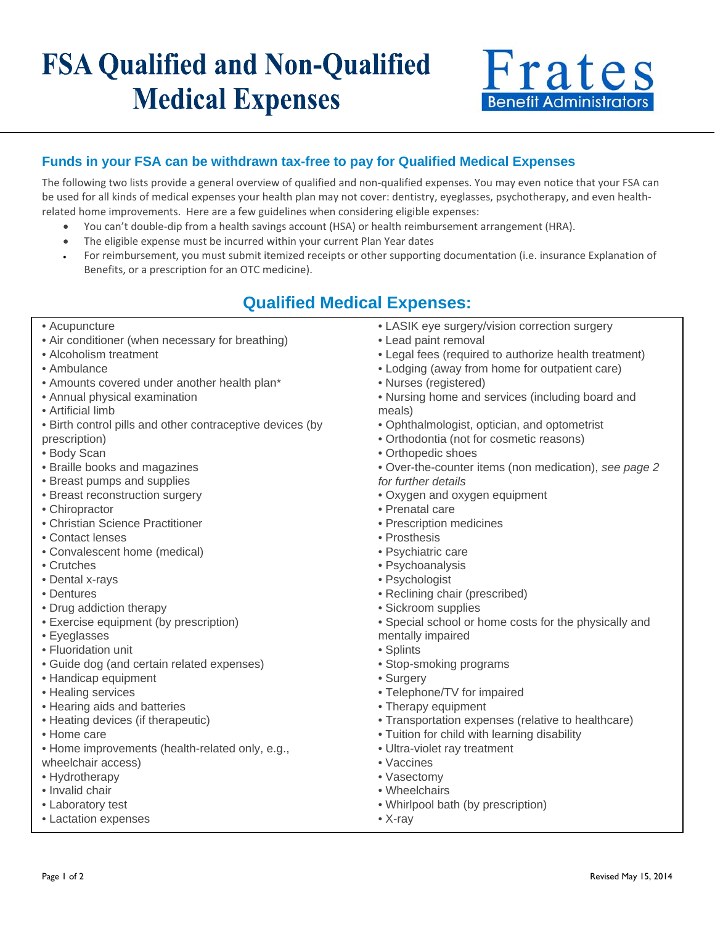# **FSA Qualified and Non-Qualified Medical Expenses**



### **Funds in your FSA can be withdrawn tax-free to pay for Qualified Medical Expenses**

The following two lists provide a general overview of qualified and non-qualified expenses. You may even notice that your FSA can be used for all kinds of medical expenses your health plan may not cover: dentistry, eyeglasses, psychotherapy, and even healthrelated home improvements. Here are a few guidelines when considering eligible expenses:

- You can't double-dip from a health savings account (HSA) or health reimbursement arrangement (HRA).
- The eligible expense must be incurred within your current Plan Year dates
- For reimbursement, you must submit itemized receipts or other supporting documentation (i.e. insurance Explanation of Benefits, or a prescription for an OTC medicine).

## **Qualified Medical Expenses:**

- Acupuncture
- Air conditioner (when necessary for breathing)
- Alcoholism treatment
- Ambulance
- Amounts covered under another health plan\*
- Annual physical examination
- Artificial limb
- Birth control pills and other contraceptive devices (by
- prescription)
- Body Scan
- Braille books and magazines
- Breast pumps and supplies
- Breast reconstruction surgery
- Chiropractor
- Christian Science Practitioner
- Contact lenses
- Convalescent home (medical)
- Crutches
- Dental x-rays
- Dentures
- Drug addiction therapy
- Exercise equipment (by prescription)
- Eyeglasses
- Fluoridation unit
- Guide dog (and certain related expenses)
- Handicap equipment
- Healing services
- Hearing aids and batteries
- Heating devices (if therapeutic)
- Home care
- Home improvements (health-related only, e.g., wheelchair access)
- Hydrotherapy
- Invalid chair
- Laboratory test
- Lactation expenses
- LASIK eye surgery/vision correction surgery
- Lead paint removal
- Legal fees (required to authorize health treatment)
- Lodging (away from home for outpatient care)
- Nurses (registered)
- Nursing home and services (including board and meals)
- Ophthalmologist, optician, and optometrist
- Orthodontia (not for cosmetic reasons)
- Orthopedic shoes
- Over-the-counter items (non medication), *see page 2 for further details*
- Oxygen and oxygen equipment
- Prenatal care
- Prescription medicines
- Prosthesis
- Psychiatric care
- Psychoanalysis
- Psychologist
- Reclining chair (prescribed)
- Sickroom supplies
- Special school or home costs for the physically and
- mentally impaired
- Splints
- Stop-smoking programs
- Surgery
- Telephone/TV for impaired
- Therapy equipment
- Transportation expenses (relative to healthcare)
- Tuition for child with learning disability
- Ultra-violet ray treatment
- Vaccines
- Vasectomy
- Wheelchairs
- Whirlpool bath (by prescription)
- X-ray